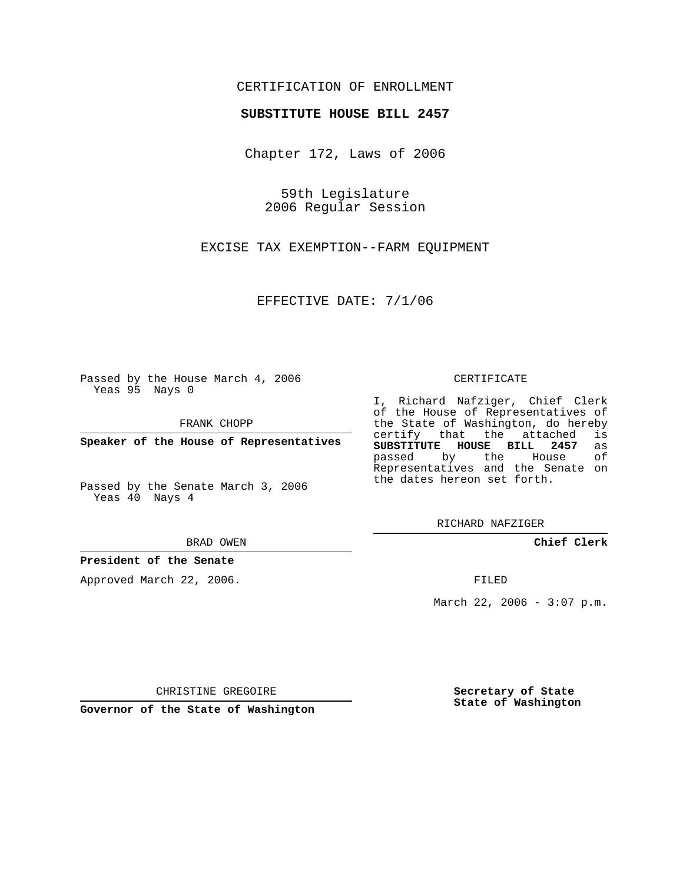## CERTIFICATION OF ENROLLMENT

### **SUBSTITUTE HOUSE BILL 2457**

Chapter 172, Laws of 2006

59th Legislature 2006 Regular Session

EXCISE TAX EXEMPTION--FARM EQUIPMENT

EFFECTIVE DATE: 7/1/06

Passed by the House March 4, 2006 Yeas 95 Nays 0

FRANK CHOPP

**Speaker of the House of Representatives**

Passed by the Senate March 3, 2006 Yeas 40 Nays 4

BRAD OWEN

**President of the Senate**

Approved March 22, 2006.

CERTIFICATE

I, Richard Nafziger, Chief Clerk of the House of Representatives of the State of Washington, do hereby<br>certify that the attached is certify that the attached **SUBSTITUTE HOUSE BILL 2457** as passed by the House Representatives and the Senate on the dates hereon set forth.

RICHARD NAFZIGER

**Chief Clerk**

FILED

March 22, 2006 -  $3:07$  p.m.

CHRISTINE GREGOIRE

**Governor of the State of Washington**

**Secretary of State State of Washington**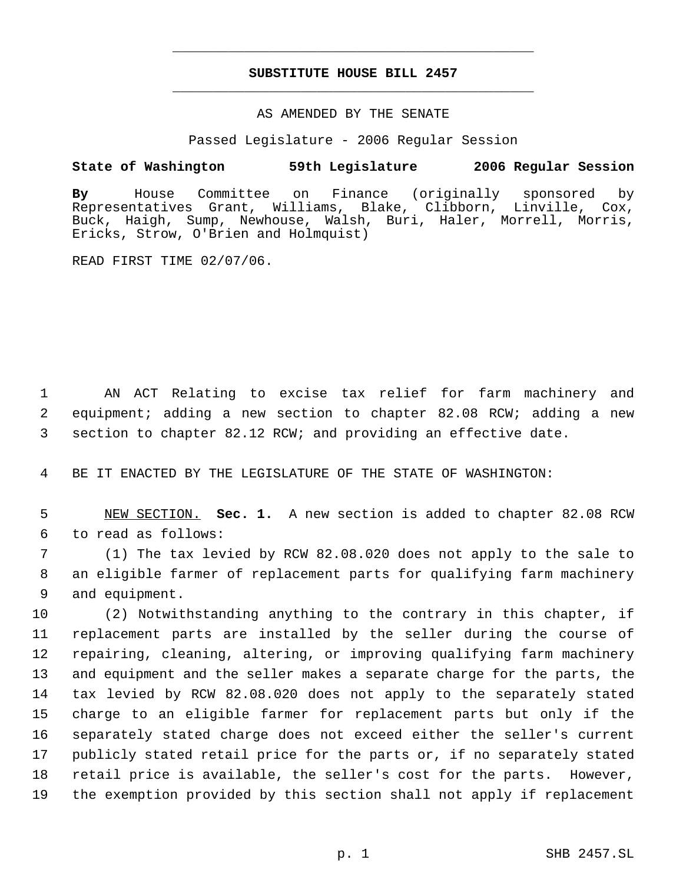# **SUBSTITUTE HOUSE BILL 2457** \_\_\_\_\_\_\_\_\_\_\_\_\_\_\_\_\_\_\_\_\_\_\_\_\_\_\_\_\_\_\_\_\_\_\_\_\_\_\_\_\_\_\_\_\_

\_\_\_\_\_\_\_\_\_\_\_\_\_\_\_\_\_\_\_\_\_\_\_\_\_\_\_\_\_\_\_\_\_\_\_\_\_\_\_\_\_\_\_\_\_

### AS AMENDED BY THE SENATE

Passed Legislature - 2006 Regular Session

### **State of Washington 59th Legislature 2006 Regular Session**

**By** House Committee on Finance (originally sponsored by Grant, Williams, Blake, Clibborn, Linville, Cox, Buck, Haigh, Sump, Newhouse, Walsh, Buri, Haler, Morrell, Morris, Ericks, Strow, O'Brien and Holmquist)

READ FIRST TIME 02/07/06.

 AN ACT Relating to excise tax relief for farm machinery and equipment; adding a new section to chapter 82.08 RCW; adding a new section to chapter 82.12 RCW; and providing an effective date.

BE IT ENACTED BY THE LEGISLATURE OF THE STATE OF WASHINGTON:

 NEW SECTION. **Sec. 1.** A new section is added to chapter 82.08 RCW to read as follows:

 (1) The tax levied by RCW 82.08.020 does not apply to the sale to an eligible farmer of replacement parts for qualifying farm machinery and equipment.

 (2) Notwithstanding anything to the contrary in this chapter, if replacement parts are installed by the seller during the course of repairing, cleaning, altering, or improving qualifying farm machinery and equipment and the seller makes a separate charge for the parts, the tax levied by RCW 82.08.020 does not apply to the separately stated charge to an eligible farmer for replacement parts but only if the separately stated charge does not exceed either the seller's current publicly stated retail price for the parts or, if no separately stated retail price is available, the seller's cost for the parts. However, the exemption provided by this section shall not apply if replacement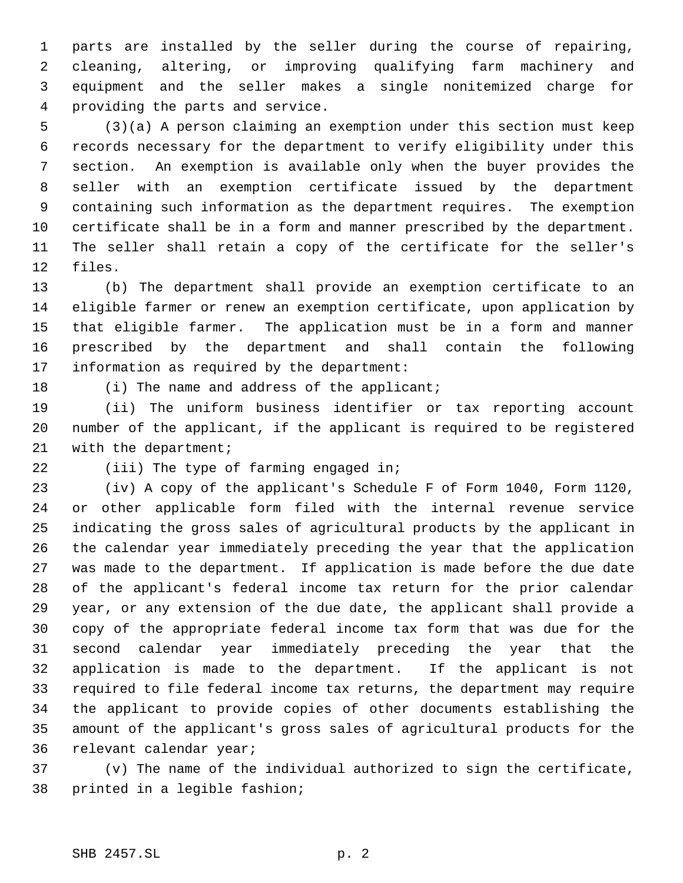parts are installed by the seller during the course of repairing, cleaning, altering, or improving qualifying farm machinery and equipment and the seller makes a single nonitemized charge for providing the parts and service.

 (3)(a) A person claiming an exemption under this section must keep records necessary for the department to verify eligibility under this section. An exemption is available only when the buyer provides the seller with an exemption certificate issued by the department containing such information as the department requires. The exemption certificate shall be in a form and manner prescribed by the department. The seller shall retain a copy of the certificate for the seller's files.

 (b) The department shall provide an exemption certificate to an eligible farmer or renew an exemption certificate, upon application by that eligible farmer. The application must be in a form and manner prescribed by the department and shall contain the following information as required by the department:

18 (i) The name and address of the applicant;

 (ii) The uniform business identifier or tax reporting account number of the applicant, if the applicant is required to be registered with the department;

22 (iii) The type of farming engaged in;

 (iv) A copy of the applicant's Schedule F of Form 1040, Form 1120, or other applicable form filed with the internal revenue service indicating the gross sales of agricultural products by the applicant in the calendar year immediately preceding the year that the application was made to the department. If application is made before the due date of the applicant's federal income tax return for the prior calendar year, or any extension of the due date, the applicant shall provide a copy of the appropriate federal income tax form that was due for the second calendar year immediately preceding the year that the application is made to the department. If the applicant is not required to file federal income tax returns, the department may require the applicant to provide copies of other documents establishing the amount of the applicant's gross sales of agricultural products for the relevant calendar year;

 (v) The name of the individual authorized to sign the certificate, printed in a legible fashion;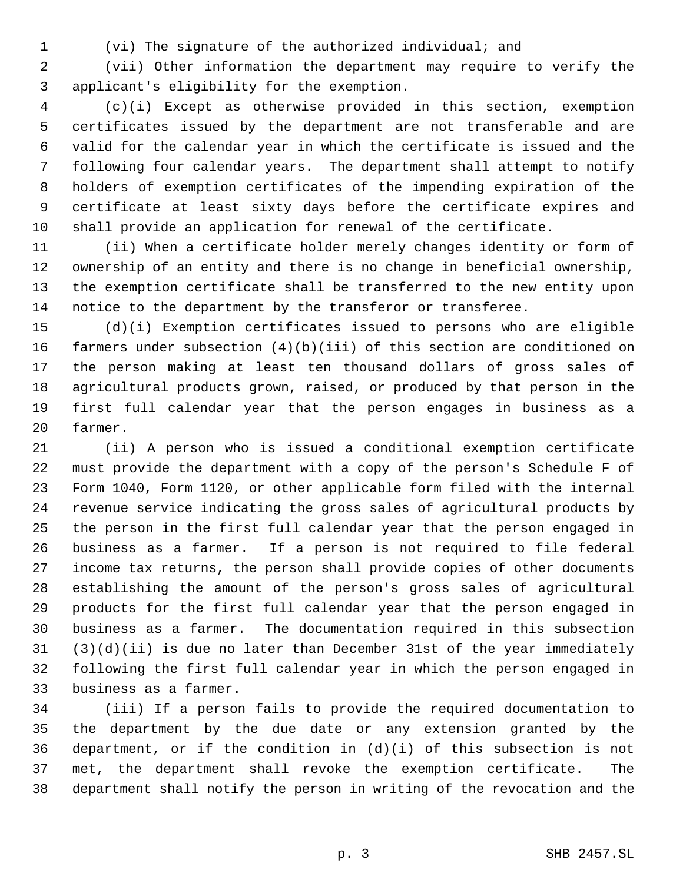(vi) The signature of the authorized individual; and

 (vii) Other information the department may require to verify the applicant's eligibility for the exemption.

 (c)(i) Except as otherwise provided in this section, exemption certificates issued by the department are not transferable and are valid for the calendar year in which the certificate is issued and the following four calendar years. The department shall attempt to notify holders of exemption certificates of the impending expiration of the certificate at least sixty days before the certificate expires and shall provide an application for renewal of the certificate.

 (ii) When a certificate holder merely changes identity or form of ownership of an entity and there is no change in beneficial ownership, the exemption certificate shall be transferred to the new entity upon notice to the department by the transferor or transferee.

 (d)(i) Exemption certificates issued to persons who are eligible farmers under subsection (4)(b)(iii) of this section are conditioned on the person making at least ten thousand dollars of gross sales of agricultural products grown, raised, or produced by that person in the first full calendar year that the person engages in business as a farmer.

 (ii) A person who is issued a conditional exemption certificate must provide the department with a copy of the person's Schedule F of Form 1040, Form 1120, or other applicable form filed with the internal revenue service indicating the gross sales of agricultural products by the person in the first full calendar year that the person engaged in business as a farmer. If a person is not required to file federal income tax returns, the person shall provide copies of other documents establishing the amount of the person's gross sales of agricultural products for the first full calendar year that the person engaged in business as a farmer. The documentation required in this subsection (3)(d)(ii) is due no later than December 31st of the year immediately following the first full calendar year in which the person engaged in business as a farmer.

 (iii) If a person fails to provide the required documentation to the department by the due date or any extension granted by the 36 department, or if the condition in  $(d)(i)$  of this subsection is not met, the department shall revoke the exemption certificate. The department shall notify the person in writing of the revocation and the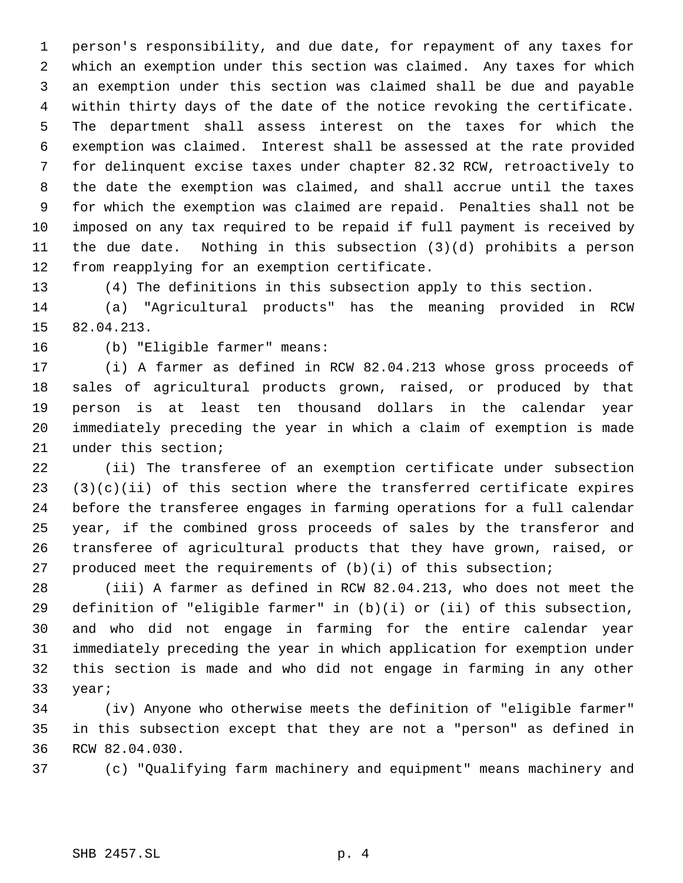person's responsibility, and due date, for repayment of any taxes for which an exemption under this section was claimed. Any taxes for which an exemption under this section was claimed shall be due and payable within thirty days of the date of the notice revoking the certificate. The department shall assess interest on the taxes for which the exemption was claimed. Interest shall be assessed at the rate provided for delinquent excise taxes under chapter 82.32 RCW, retroactively to the date the exemption was claimed, and shall accrue until the taxes for which the exemption was claimed are repaid. Penalties shall not be imposed on any tax required to be repaid if full payment is received by the due date. Nothing in this subsection (3)(d) prohibits a person from reapplying for an exemption certificate.

(4) The definitions in this subsection apply to this section.

 (a) "Agricultural products" has the meaning provided in RCW 82.04.213.

(b) "Eligible farmer" means:

 (i) A farmer as defined in RCW 82.04.213 whose gross proceeds of sales of agricultural products grown, raised, or produced by that person is at least ten thousand dollars in the calendar year immediately preceding the year in which a claim of exemption is made under this section;

 (ii) The transferee of an exemption certificate under subsection  $(3)(c)(ii)$  of this section where the transferred certificate expires before the transferee engages in farming operations for a full calendar year, if the combined gross proceeds of sales by the transferor and transferee of agricultural products that they have grown, raised, or produced meet the requirements of (b)(i) of this subsection;

 (iii) A farmer as defined in RCW 82.04.213, who does not meet the definition of "eligible farmer" in (b)(i) or (ii) of this subsection, and who did not engage in farming for the entire calendar year immediately preceding the year in which application for exemption under this section is made and who did not engage in farming in any other year;

 (iv) Anyone who otherwise meets the definition of "eligible farmer" in this subsection except that they are not a "person" as defined in RCW 82.04.030.

(c) "Qualifying farm machinery and equipment" means machinery and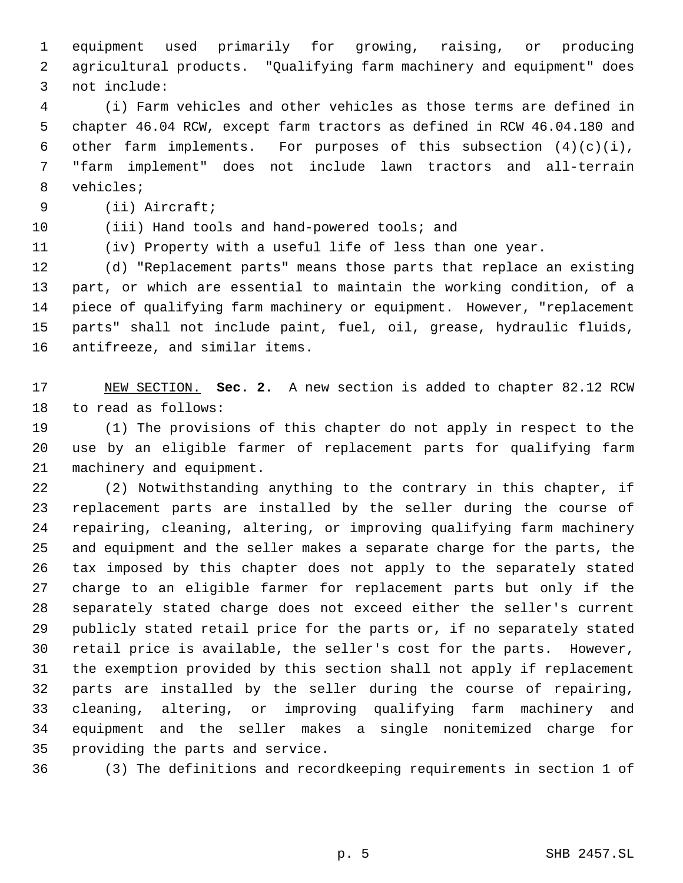equipment used primarily for growing, raising, or producing agricultural products. "Qualifying farm machinery and equipment" does not include:

 (i) Farm vehicles and other vehicles as those terms are defined in chapter 46.04 RCW, except farm tractors as defined in RCW 46.04.180 and 6 other farm implements. For purposes of this subsection  $(4)(c)(i)$ , "farm implement" does not include lawn tractors and all-terrain vehicles;

(ii) Aircraft;

(iii) Hand tools and hand-powered tools; and

(iv) Property with a useful life of less than one year.

 (d) "Replacement parts" means those parts that replace an existing part, or which are essential to maintain the working condition, of a piece of qualifying farm machinery or equipment. However, "replacement parts" shall not include paint, fuel, oil, grease, hydraulic fluids, antifreeze, and similar items.

 NEW SECTION. **Sec. 2.** A new section is added to chapter 82.12 RCW to read as follows:

 (1) The provisions of this chapter do not apply in respect to the use by an eligible farmer of replacement parts for qualifying farm machinery and equipment.

 (2) Notwithstanding anything to the contrary in this chapter, if replacement parts are installed by the seller during the course of repairing, cleaning, altering, or improving qualifying farm machinery and equipment and the seller makes a separate charge for the parts, the tax imposed by this chapter does not apply to the separately stated charge to an eligible farmer for replacement parts but only if the separately stated charge does not exceed either the seller's current publicly stated retail price for the parts or, if no separately stated retail price is available, the seller's cost for the parts. However, the exemption provided by this section shall not apply if replacement parts are installed by the seller during the course of repairing, cleaning, altering, or improving qualifying farm machinery and equipment and the seller makes a single nonitemized charge for providing the parts and service.

(3) The definitions and recordkeeping requirements in section 1 of